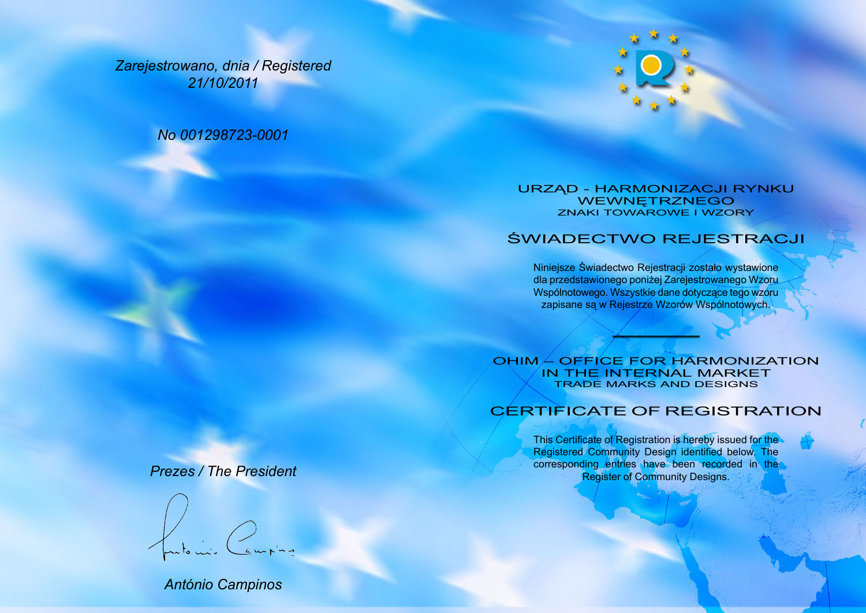*Zarejestrowano, dnia / Registered 21/10/2011*

*No 001298723-0001*



## URZĄD - HARMONIZACJI RYNKU WEWNĘTRZNEGO ZNAKI TOWAROWE I WZORY

## ŚWIADECTWO REJESTRACJI

Niniejsze Świadectwo Rejestracji zostało wystawione dla przedstawionego poniżej Zarejestrowanego Wzoru Wspólnotowego. Wszystkie dane dotyczące tego wzoru zapisane są w Rejestrze Wzorów Wspólnotowych.

OHIM – OFFICE FOR HARMONIZATION IN THE INTERNAL MARKET TRADE MARKS AND DESIGNS

## CERTIFICATE OF REGISTRATION

This Certificate of Registration is hereby issued for the Registered Community Design identified below. The corresponding entries have been recorded in the Register of Community Designs.

## *Prezes / The President*

*António Campinos*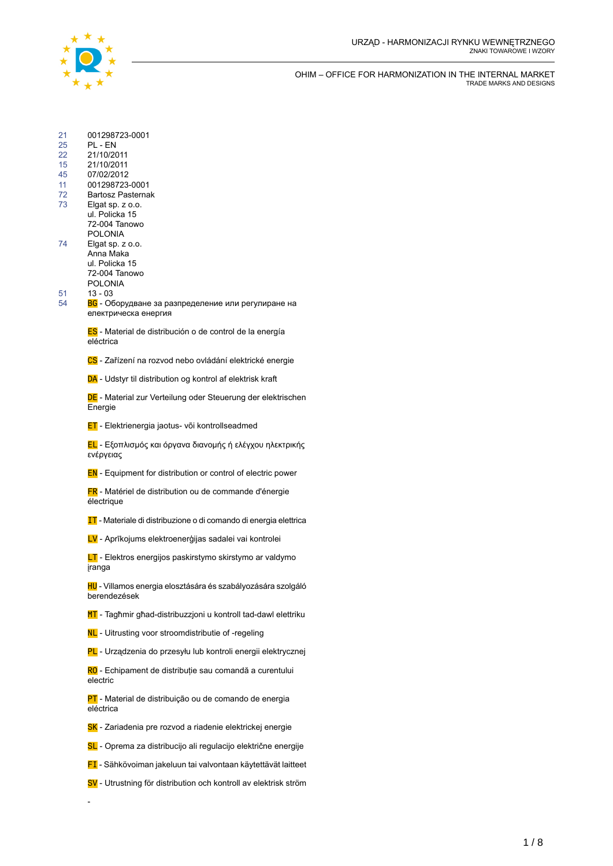

| 21 | 001298723-0001 |
|----|----------------|
| ~  |                |

- 25 PL EN<br>22 21/10/20
- 22 21/10/2011 15 21/10/2011
- 
- 45 07/02/2012 001298723-0001
- 72 Bartosz Pasternak
- 73 Elgat sp. z o.o.
- ul. Policka 15 72-004 Tanowo
- POLONIA 74 Elgat sp. z o.o.
	- Anna Maka ul. Policka 15 72-004 Tanowo POLONIA
- 51 13 03

-

54

BG - Оборудване за разпределение или регулиране на електрическа енергия

ES - Material de distribución o de control de la energía eléctrica

CS - Zařízení na rozvod nebo ovládání elektrické energie

DA - Udstyr til distribution og kontrol af elektrisk kraft

DE - Material zur Verteilung oder Steuerung der elektrischen Energie

**ET** - Elektrienergia jaotus- või kontrollseadmed

EL - Εξοπλισμός και όργανα διανομής ή ελέγχου ηλεκτρικής ενέργειας

EN - Equipment for distribution or control of electric power

FR - Matériel de distribution ou de commande d'énergie électrique

IT - Materiale di distribuzione o di comando di energia elettrica

LV - Aprīkojums elektroenerģijas sadalei vai kontrolei

LT - Elektros energijos paskirstymo skirstymo ar valdymo įranga

HU - Villamos energia elosztására és szabályozására szolgáló berendezések

MT - Tagħmir għad-distribuzzjoni u kontroll tad-dawl elettriku

NL - Uitrusting voor stroomdistributie of -regeling

PL - Urządzenia do przesyłu lub kontroli energii elektrycznej

RO - Echipament de distribuție sau comandă a curentului electric

PT - Material de distribuição ou de comando de energia eléctrica

- SK Zariadenia pre rozvod a riadenie elektrickej energie
- SL Oprema za distribucijo ali regulacijo električne energije
- FI Sähkövoiman jakeluun tai valvontaan käytettävät laitteet
- SV Utrustning för distribution och kontroll av elektrisk ström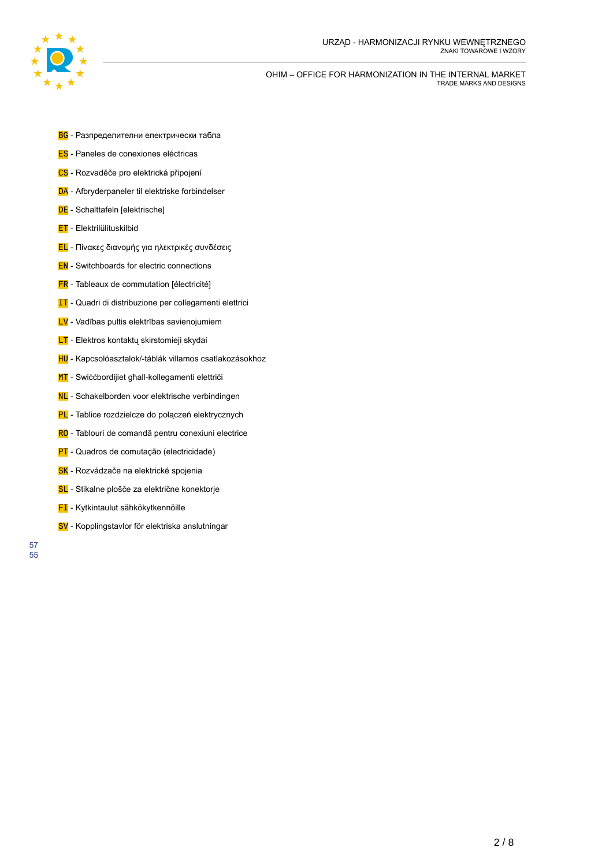

- **BG** Разпределителни електрически табла
- ES Paneles de conexiones eléctricas
- CS Rozvaděče pro elektrická připojení
- DA Afbryderpaneler til elektriske forbindelser
- DE Schalttafeln [elektrische]
- **ET** Elektrilülituskilbid
- EL Πίνακες διανομής για ηλεκτρικές συνδέσεις
- **EN** Switchboards for electric connections
- FR Tableaux de commutation [électricité]
- **IT** Quadri di distribuzione per collegamenti elettrici
- LV Vadības pultis elektrības savienojumiem
- **LT** Elektros kontaktų skirstomieji skydai
- HU Kapcsolóasztalok/-táblák villamos csatlakozásokhoz
- MT Swiċċbordijiet għall-kollegamenti elettriċi
- NL Schakelborden voor elektrische verbindingen
- PL Tablice rozdzielcze do połączeń elektrycznych
- RO Tablouri de comandă pentru conexiuni electrice
- PT Quadros de comutação (electricidade)
- SK Rozvádzače na elektrické spojenia
- SL Stikalne plošče za električne konektorje
- **FI** Kytkintaulut sähkökytkennöille
- SV Kopplingstavlor för elektriska anslutningar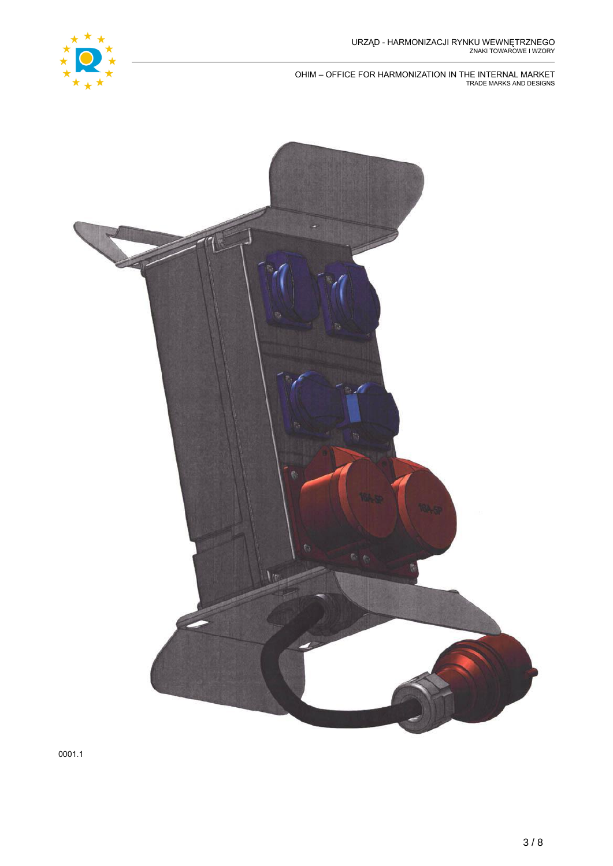

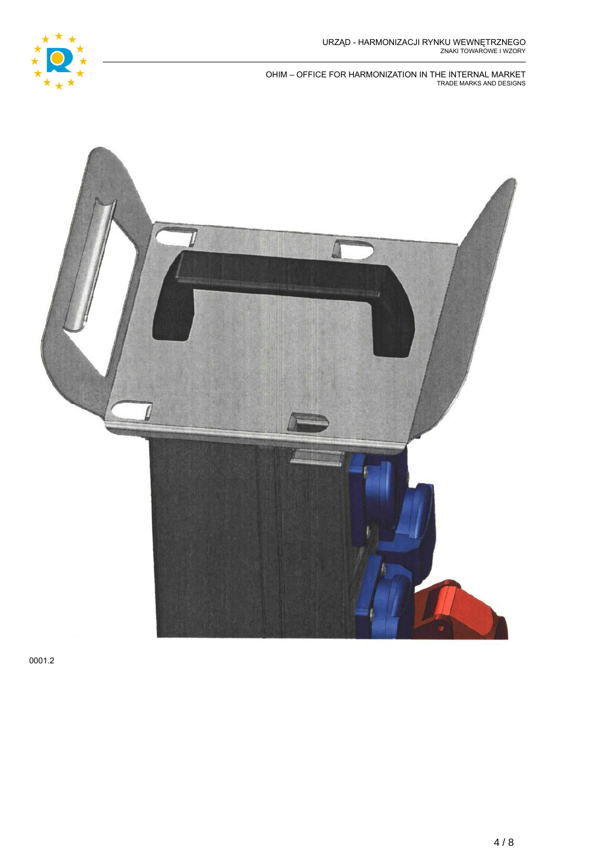

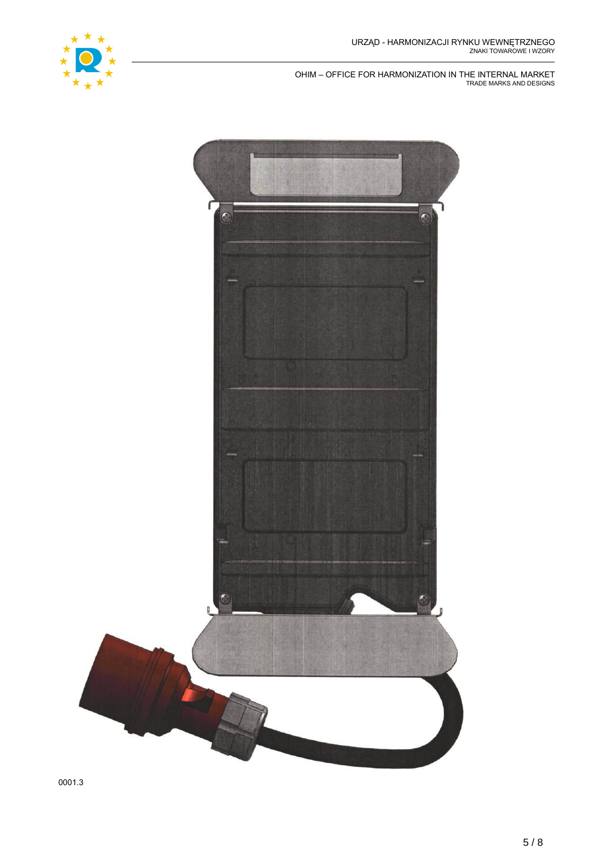

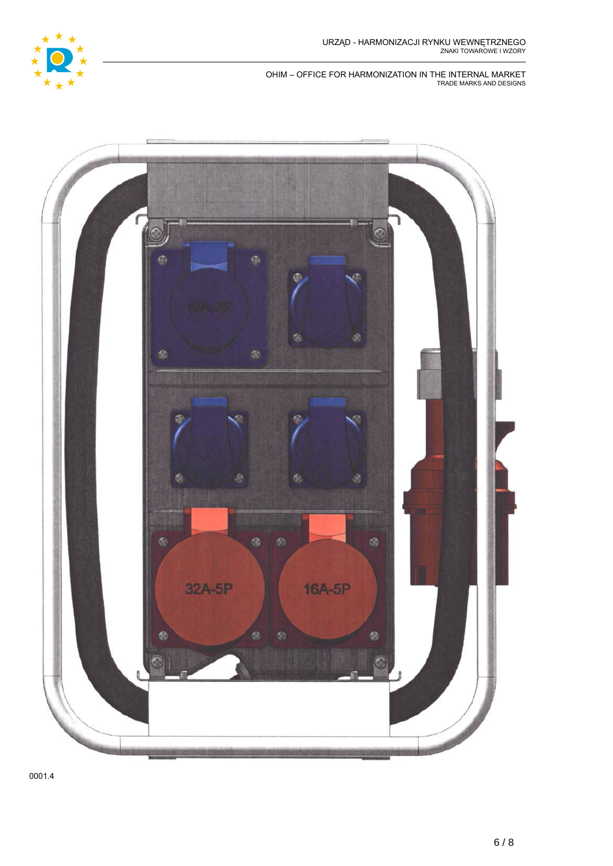

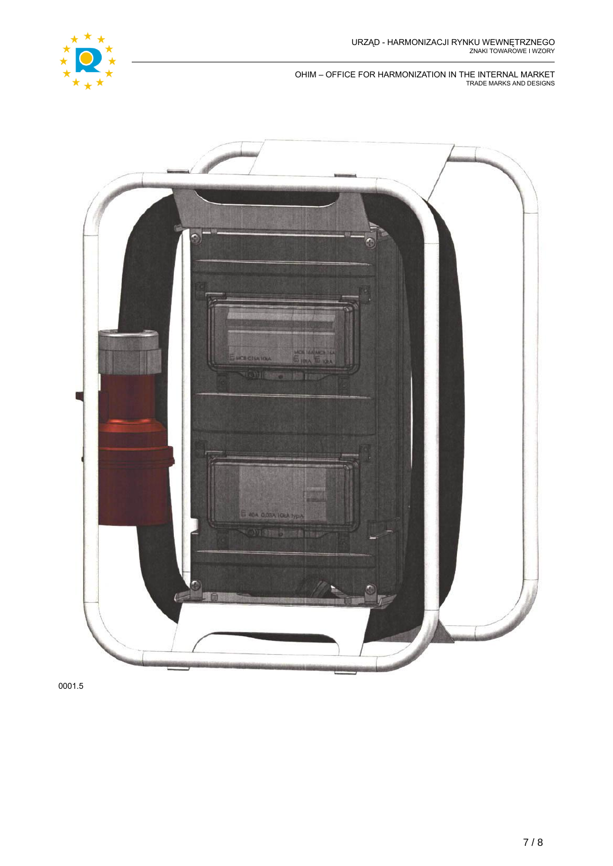